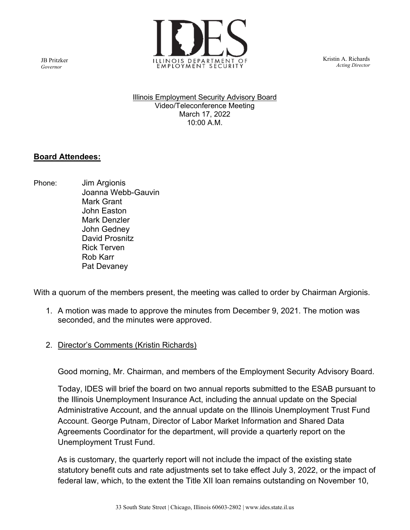

 Kristin A. Richards Acting Director

Illinois Employment Security Advisory Board Video/Teleconference Meeting March 17, 2022 10:00 A.M.

### Board Attendees:

Phone: Jim Argionis Joanna Webb-Gauvin Mark Grant John Easton Mark Denzler John Gedney David Prosnitz Rick Terven Rob Karr Pat Devaney

With a quorum of the members present, the meeting was called to order by Chairman Argionis.

- 1. A motion was made to approve the minutes from December 9, 2021. The motion was seconded, and the minutes were approved.
- 2. Director's Comments (Kristin Richards)

Good morning, Mr. Chairman, and members of the Employment Security Advisory Board.

Today, IDES will brief the board on two annual reports submitted to the ESAB pursuant to the Illinois Unemployment Insurance Act, including the annual update on the Special Administrative Account, and the annual update on the Illinois Unemployment Trust Fund Account. George Putnam, Director of Labor Market Information and Shared Data Agreements Coordinator for the department, will provide a quarterly report on the Unemployment Trust Fund.

As is customary, the quarterly report will not include the impact of the existing state statutory benefit cuts and rate adjustments set to take effect July 3, 2022, or the impact of federal law, which, to the extent the Title XII loan remains outstanding on November 10,

JB Pritzker Governor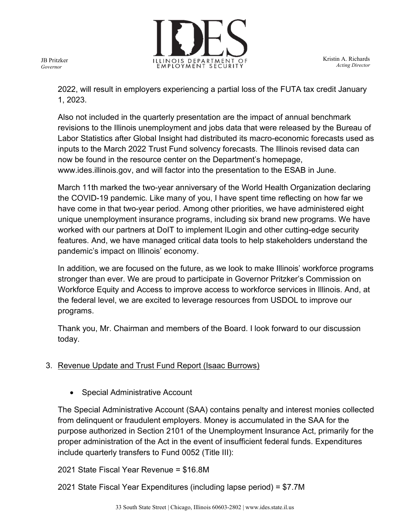

 Kristin A. Richards Acting Director

2022, will result in employers experiencing a partial loss of the FUTA tax credit January 1, 2023.

Also not included in the quarterly presentation are the impact of annual benchmark revisions to the Illinois unemployment and jobs data that were released by the Bureau of Labor Statistics after Global Insight had distributed its macro-economic forecasts used as inputs to the March 2022 Trust Fund solvency forecasts. The Illinois revised data can now be found in the resource center on the Department's homepage, www.ides.illinois.gov, and will factor into the presentation to the ESAB in June.

March 11th marked the two-year anniversary of the World Health Organization declaring the COVID-19 pandemic. Like many of you, I have spent time reflecting on how far we have come in that two-year period. Among other priorities, we have administered eight unique unemployment insurance programs, including six brand new programs. We have worked with our partners at DoIT to implement ILogin and other cutting-edge security features. And, we have managed critical data tools to help stakeholders understand the pandemic's impact on Illinois' economy.

In addition, we are focused on the future, as we look to make Illinois' workforce programs stronger than ever. We are proud to participate in Governor Pritzker's Commission on Workforce Equity and Access to improve access to workforce services in Illinois. And, at the federal level, we are excited to leverage resources from USDOL to improve our programs.

Thank you, Mr. Chairman and members of the Board. I look forward to our discussion today.

# 3. Revenue Update and Trust Fund Report (Isaac Burrows)

• Special Administrative Account

JB Pritzker Governor

> The Special Administrative Account (SAA) contains penalty and interest monies collected from delinquent or fraudulent employers. Money is accumulated in the SAA for the purpose authorized in Section 2101 of the Unemployment Insurance Act, primarily for the proper administration of the Act in the event of insufficient federal funds. Expenditures include quarterly transfers to Fund 0052 (Title III):

2021 State Fiscal Year Revenue = \$16.8M

2021 State Fiscal Year Expenditures (including lapse period) = \$7.7M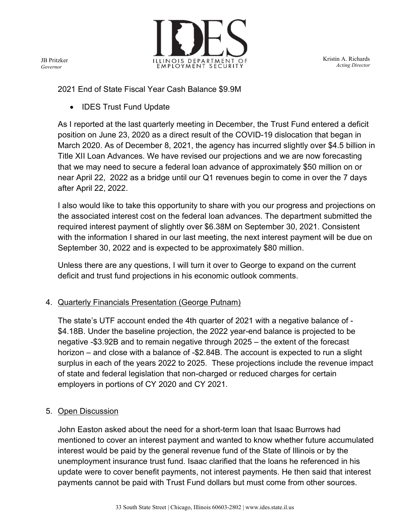

 Kristin A. Richards Acting Director

2021 End of State Fiscal Year Cash Balance \$9.9M

• IDES Trust Fund Update

JB Pritzker Governor

> As I reported at the last quarterly meeting in December, the Trust Fund entered a deficit position on June 23, 2020 as a direct result of the COVID-19 dislocation that began in March 2020. As of December 8, 2021, the agency has incurred slightly over \$4.5 billion in Title XII Loan Advances. We have revised our projections and we are now forecasting that we may need to secure a federal loan advance of approximately \$50 million on or near April 22, 2022 as a bridge until our Q1 revenues begin to come in over the 7 days after April 22, 2022.

> I also would like to take this opportunity to share with you our progress and projections on the associated interest cost on the federal loan advances. The department submitted the required interest payment of slightly over \$6.38M on September 30, 2021. Consistent with the information I shared in our last meeting, the next interest payment will be due on September 30, 2022 and is expected to be approximately \$80 million.

Unless there are any questions, I will turn it over to George to expand on the current deficit and trust fund projections in his economic outlook comments.

# 4. Quarterly Financials Presentation (George Putnam)

The state's UTF account ended the 4th quarter of 2021 with a negative balance of - \$4.18B. Under the baseline projection, the 2022 year-end balance is projected to be negative -\$3.92B and to remain negative through 2025 – the extent of the forecast horizon – and close with a balance of -\$2.84B. The account is expected to run a slight surplus in each of the years 2022 to 2025. These projections include the revenue impact of state and federal legislation that non-charged or reduced charges for certain employers in portions of CY 2020 and CY 2021.

# 5. Open Discussion

John Easton asked about the need for a short-term loan that Isaac Burrows had mentioned to cover an interest payment and wanted to know whether future accumulated interest would be paid by the general revenue fund of the State of Illinois or by the unemployment insurance trust fund. Isaac clarified that the loans he referenced in his update were to cover benefit payments, not interest payments. He then said that interest payments cannot be paid with Trust Fund dollars but must come from other sources.